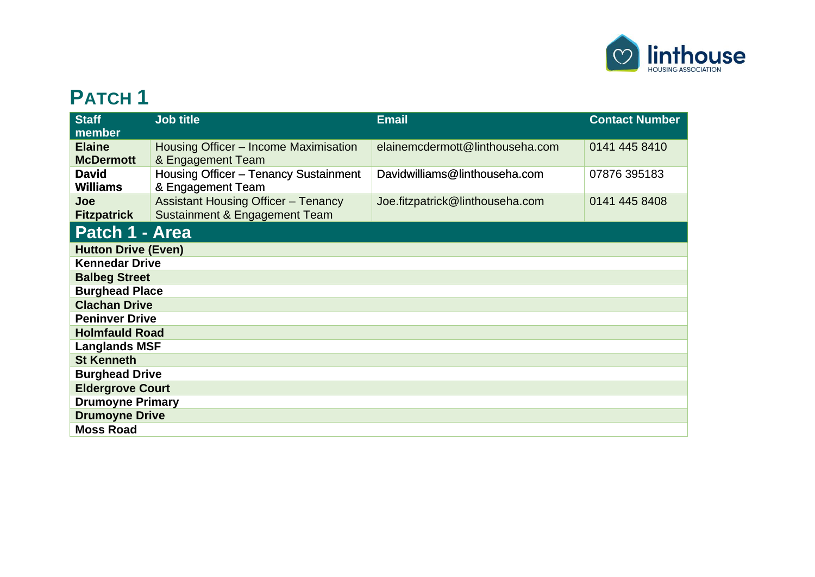

## **PATCH 1**

| <b>Staff</b><br>member            | <b>Job title</b>                                                            | <b>Email</b>                    | <b>Contact Number</b> |  |  |
|-----------------------------------|-----------------------------------------------------------------------------|---------------------------------|-----------------------|--|--|
| <b>Elaine</b><br><b>McDermott</b> | Housing Officer - Income Maximisation<br>& Engagement Team                  | elainemcdermott@linthouseha.com | 0141 445 8410         |  |  |
| <b>David</b><br><b>Williams</b>   | <b>Housing Officer - Tenancy Sustainment</b><br>& Engagement Team           | Davidwilliams@linthouseha.com   | 07876 395183          |  |  |
| Joe<br><b>Fitzpatrick</b>         | <b>Assistant Housing Officer - Tenancy</b><br>Sustainment & Engagement Team | Joe.fitzpatrick@linthouseha.com | 0141 445 8408         |  |  |
| Patch 1 - Area                    |                                                                             |                                 |                       |  |  |
| <b>Hutton Drive (Even)</b>        |                                                                             |                                 |                       |  |  |
| <b>Kennedar Drive</b>             |                                                                             |                                 |                       |  |  |
| <b>Balbeg Street</b>              |                                                                             |                                 |                       |  |  |
| <b>Burghead Place</b>             |                                                                             |                                 |                       |  |  |
| <b>Clachan Drive</b>              |                                                                             |                                 |                       |  |  |
| <b>Peninver Drive</b>             |                                                                             |                                 |                       |  |  |
| <b>Holmfauld Road</b>             |                                                                             |                                 |                       |  |  |
| <b>Langlands MSF</b>              |                                                                             |                                 |                       |  |  |
| <b>St Kenneth</b>                 |                                                                             |                                 |                       |  |  |
| <b>Burghead Drive</b>             |                                                                             |                                 |                       |  |  |
| <b>Eldergrove Court</b>           |                                                                             |                                 |                       |  |  |
| <b>Drumoyne Primary</b>           |                                                                             |                                 |                       |  |  |
| <b>Drumoyne Drive</b>             |                                                                             |                                 |                       |  |  |
| <b>Moss Road</b>                  |                                                                             |                                 |                       |  |  |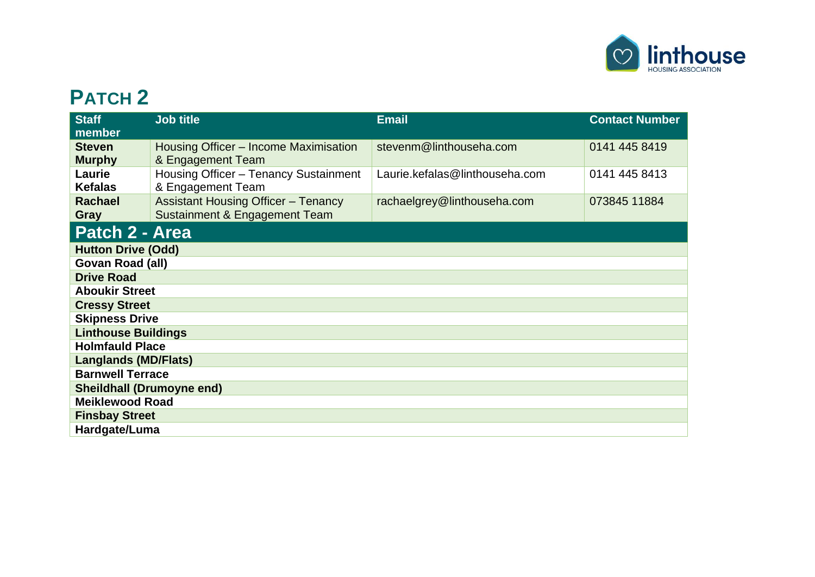

## **PATCH 2**

| <b>Staff</b>                     | <b>Job title</b>                           | <b>Email</b>                   | <b>Contact Number</b> |  |  |
|----------------------------------|--------------------------------------------|--------------------------------|-----------------------|--|--|
| member                           |                                            |                                |                       |  |  |
| <b>Steven</b>                    | Housing Officer – Income Maximisation      | stevenm@linthouseha.com        | 0141 445 8419         |  |  |
| <b>Murphy</b>                    | & Engagement Team                          |                                |                       |  |  |
| Laurie                           | Housing Officer - Tenancy Sustainment      | Laurie.kefalas@linthouseha.com | 0141 445 8413         |  |  |
| <b>Kefalas</b>                   | & Engagement Team                          |                                |                       |  |  |
| <b>Rachael</b>                   | <b>Assistant Housing Officer - Tenancy</b> | rachaelgrey@linthouseha.com    | 073845 11884          |  |  |
| Gray                             | Sustainment & Engagement Team              |                                |                       |  |  |
| Patch 2 - Area                   |                                            |                                |                       |  |  |
| <b>Hutton Drive (Odd)</b>        |                                            |                                |                       |  |  |
| Govan Road (all)                 |                                            |                                |                       |  |  |
| <b>Drive Road</b>                |                                            |                                |                       |  |  |
| <b>Aboukir Street</b>            |                                            |                                |                       |  |  |
| <b>Cressy Street</b>             |                                            |                                |                       |  |  |
| <b>Skipness Drive</b>            |                                            |                                |                       |  |  |
| <b>Linthouse Buildings</b>       |                                            |                                |                       |  |  |
| <b>Holmfauld Place</b>           |                                            |                                |                       |  |  |
| <b>Langlands (MD/Flats)</b>      |                                            |                                |                       |  |  |
| <b>Barnwell Terrace</b>          |                                            |                                |                       |  |  |
| <b>Sheildhall (Drumoyne end)</b> |                                            |                                |                       |  |  |
| <b>Meiklewood Road</b>           |                                            |                                |                       |  |  |
| <b>Finsbay Street</b>            |                                            |                                |                       |  |  |
| Hardgate/Luma                    |                                            |                                |                       |  |  |